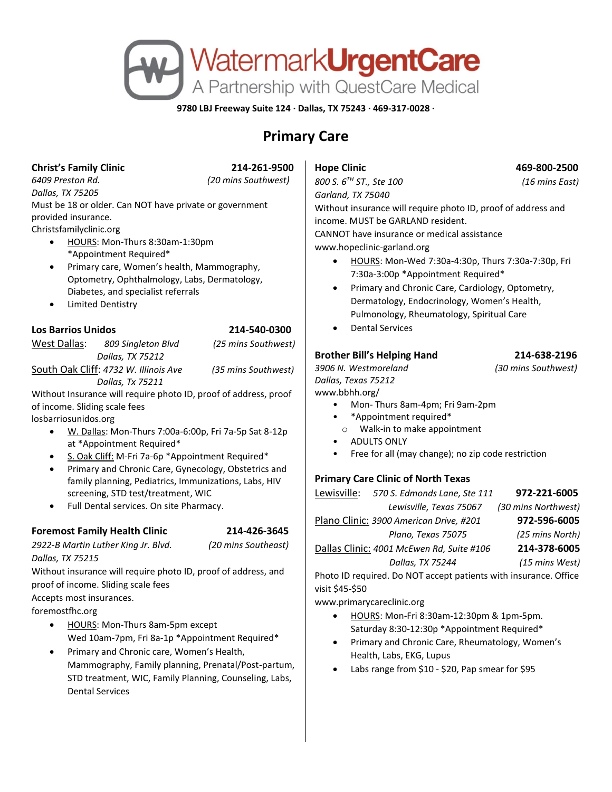

**9780 LBJ Freeway Suite 124 · Dallas, TX 75243 · 469-317-0028 ·**

# **Primary Care**

### **Christ's Family Clinic 214-261-9500**

*6409 Preston Rd. (20 mins Southwest)*

*Dallas, TX 75205* Must be 18 or older. Can NOT have private or government provided insurance. Christsfamilyclinic.org

• HOURS: Mon-Thurs 8:30am-1:30pm \*Appointment Required\*

 *Dallas, Tx 75211*

- Primary care, Women's health, Mammography, Optometry, Ophthalmology, Labs, Dermatology, Diabetes, and specialist referrals
- Limited Dentistry

# **Los Barrios Unidos 214-540-0300**

West Dallas: *809 Singleton Blvd (25 mins Southwest) Dallas, TX 75212* South Oak Cliff: *4732 W. Illinois Ave (35 mins Southwest)*

Without Insurance will require photo ID, proof of address, proof of income. Sliding scale fees

losbarriosunidos.org

- W. Dallas: Mon-Thurs 7:00a-6:00p, Fri 7a-5p Sat 8-12p at \*Appointment Required\*
- S. Oak Cliff: M-Fri 7a-6p \*Appointment Required\*
- Primary and Chronic Care, Gynecology, Obstetrics and family planning, Pediatrics, Immunizations, Labs, HIV screening, STD test/treatment, WIC
- Full Dental services. On site Pharmacy.

# **Foremost Family Health Clinic 214-426-3645**

*2922-B Martin Luther King Jr. Blvd. (20 mins Southeast) Dallas, TX 75215*

Without insurance will require photo ID, proof of address, and proof of income. Sliding scale fees

Accepts most insurances.

foremostfhc.org

- HOURS: Mon-Thurs 8am-5pm except Wed 10am-7pm, Fri 8a-1p \*Appointment Required\*
- Primary and Chronic care, Women's Health, Mammography, Family planning, Prenatal/Post-partum, STD treatment, WIC, Family Planning, Counseling, Labs, Dental Services

*800 S. 6TH ST., Ste 100 (16 mins East) Garland, TX 75040*

**Hope Clinic 469-800-2500** 

Without insurance will require photo ID, proof of address and income. MUST be GARLAND resident.

CANNOT have insurance or medical assistance www.hopeclinic-garland.org

- HOURS: Mon-Wed 7:30a-4:30p, Thurs 7:30a-7:30p, Fri 7:30a-3:00p \*Appointment Required\*
- Primary and Chronic Care, Cardiology, Optometry, Dermatology, Endocrinology, Women's Health, Pulmonology, Rheumatology, Spiritual Care
- Dental Services

# **Brother Bill's Helping Hand 214-638-2196**

*3906 N. Westmoreland (30 mins Southwest) Dallas, Texas 75212* www.bbhh.org/

- Mon- Thurs 8am-4pm; Fri 9am-2pm
- \*Appointment required\*
- o Walk-in to make appointment
- ADULTS ONLY
- Free for all (may change); no zip code restriction

# **Primary Care Clinic of North Texas**

| Lewisville:                               | 570 S. Edmonds Lane, Ste 111 | 972-221-6005        |
|-------------------------------------------|------------------------------|---------------------|
|                                           | Lewisville, Texas 75067      | (30 mins Northwest) |
| Plano Clinic: 3900 American Drive, #201   |                              | 972-596-6005        |
|                                           | Plano, Texas 75075           | (25 mins North)     |
| Dallas Clinic: 4001 McEwen Rd, Suite #106 |                              | 214-378-6005        |
|                                           | Dallas, TX 75244             | (15 mins West)      |

Photo ID required. Do NOT accept patients with insurance. Office visit \$45-\$50

www.primarycareclinic.org

- HOURS: Mon-Fri 8:30am-12:30pm & 1pm-5pm. Saturday 8:30-12:30p \*Appointment Required\*
- Primary and Chronic Care, Rheumatology, Women's Health, Labs, EKG, Lupus
- Labs range from \$10 \$20, Pap smear for \$95